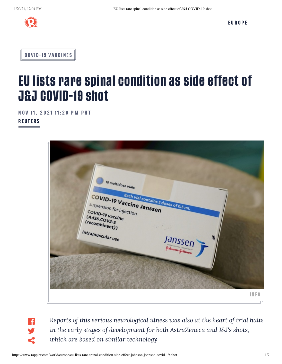

**C[OV](https://www.rappler.com/covid-19-vaccines)ID-19 VACCINES** 

## EU lists rare spinal condition as side effect of J&J COVID-19 shot

NOV 11, 2021 11:20 PM PHT

**REUTERS** 



 $\left| \cdot \right|$ y  $\leq$ 

*Reports of this serious neurological illness was also at the heart of trial halts in the early stages of development for both AstraZeneca and J&J's shots, which are based on similar technology*